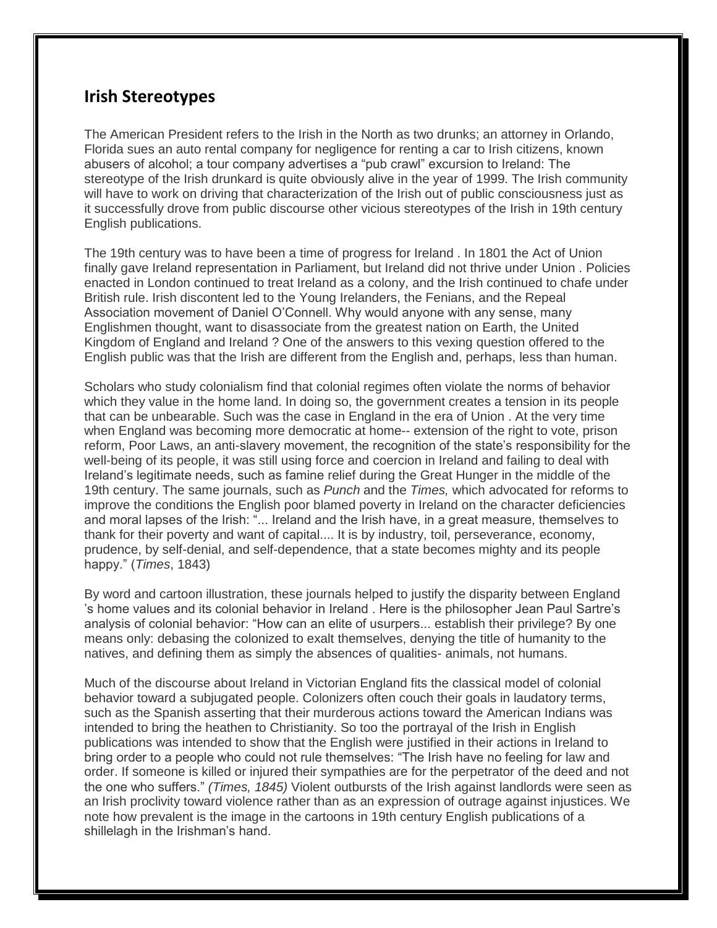## **Irish Stereotypes**

The American President refers to the Irish in the North as two drunks; an attorney in Orlando, Florida sues an auto rental company for negligence for renting a car to Irish citizens, known abusers of alcohol; a tour company advertises a "pub crawl" excursion to Ireland: The stereotype of the Irish drunkard is quite obviously alive in the year of 1999. The Irish community will have to work on driving that characterization of the Irish out of public consciousness just as it successfully drove from public discourse other vicious stereotypes of the Irish in 19th century English publications.

The 19th century was to have been a time of progress for Ireland . In 1801 the Act of Union finally gave Ireland representation in Parliament, but Ireland did not thrive under Union . Policies enacted in London continued to treat Ireland as a colony, and the Irish continued to chafe under British rule. Irish discontent led to the Young Irelanders, the Fenians, and the Repeal Association movement of Daniel O'Connell. Why would anyone with any sense, many Englishmen thought, want to disassociate from the greatest nation on Earth, the United Kingdom of England and Ireland ? One of the answers to this vexing question offered to the English public was that the Irish are different from the English and, perhaps, less than human.

Scholars who study colonialism find that colonial regimes often violate the norms of behavior which they value in the home land. In doing so, the government creates a tension in its people that can be unbearable. Such was the case in England in the era of Union . At the very time when England was becoming more democratic at home-- extension of the right to vote, prison reform, Poor Laws, an anti-slavery movement, the recognition of the state's responsibility for the well-being of its people, it was still using force and coercion in Ireland and failing to deal with Ireland's legitimate needs, such as famine relief during the Great Hunger in the middle of the 19th century. The same journals, such as *Punch* and the *Times,* which advocated for reforms to improve the conditions the English poor blamed poverty in Ireland on the character deficiencies and moral lapses of the Irish: "... Ireland and the Irish have, in a great measure, themselves to thank for their poverty and want of capital.... It is by industry, toil, perseverance, economy, prudence, by self-denial, and self-dependence, that a state becomes mighty and its people happy." (*Times*, 1843)

By word and cartoon illustration, these journals helped to justify the disparity between England 's home values and its colonial behavior in Ireland . Here is the philosopher Jean Paul Sartre's analysis of colonial behavior: "How can an elite of usurpers... establish their privilege? By one means only: debasing the colonized to exalt themselves, denying the title of humanity to the natives, and defining them as simply the absences of qualities- animals, not humans.

Much of the discourse about Ireland in Victorian England fits the classical model of colonial behavior toward a subjugated people. Colonizers often couch their goals in laudatory terms, such as the Spanish asserting that their murderous actions toward the American Indians was intended to bring the heathen to Christianity. So too the portrayal of the Irish in English publications was intended to show that the English were justified in their actions in Ireland to bring order to a people who could not rule themselves: "The Irish have no feeling for law and order. If someone is killed or injured their sympathies are for the perpetrator of the deed and not the one who suffers." *(Times, 1845)* Violent outbursts of the Irish against landlords were seen as an Irish proclivity toward violence rather than as an expression of outrage against injustices. We note how prevalent is the image in the cartoons in 19th century English publications of a shillelagh in the Irishman's hand.